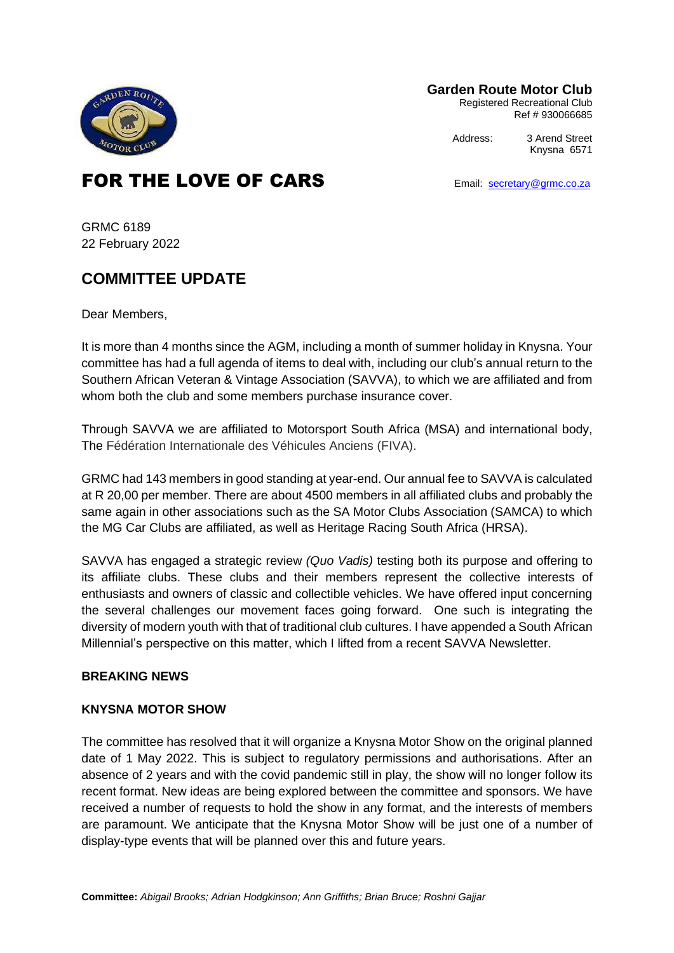

**Garden Route Motor Club**

Registered Recreational Club Ref # 930066685

Address: 3 Arend Street

Knysna 6571

# FOR THE LOVE OF CARS<br>
Email: [secretary@grmc.co.za](mailto:secretary@grmc.co.za)

GRMC 6189 22 February 2022

## **COMMITTEE UPDATE**

Dear Members,

It is more than 4 months since the AGM, including a month of summer holiday in Knysna. Your committee has had a full agenda of items to deal with, including our club's annual return to the Southern African Veteran & Vintage Association (SAVVA), to which we are affiliated and from whom both the club and some members purchase insurance cover.

Through SAVVA we are affiliated to Motorsport South Africa (MSA) and international body, The Fédération Internationale des Véhicules Anciens (FIVA).

GRMC had 143 members in good standing at year-end. Our annual fee to SAVVA is calculated at R 20,00 per member. There are about 4500 members in all affiliated clubs and probably the same again in other associations such as the SA Motor Clubs Association (SAMCA) to which the MG Car Clubs are affiliated, as well as Heritage Racing South Africa (HRSA).

SAVVA has engaged a strategic review *(Quo Vadis)* testing both its purpose and offering to its affiliate clubs. These clubs and their members represent the collective interests of enthusiasts and owners of classic and collectible vehicles. We have offered input concerning the several challenges our movement faces going forward. One such is integrating the diversity of modern youth with that of traditional club cultures. I have appended a South African Millennial's perspective on this matter, which I lifted from a recent SAVVA Newsletter.

### **BREAKING NEWS**

#### **KNYSNA MOTOR SHOW**

The committee has resolved that it will organize a Knysna Motor Show on the original planned date of 1 May 2022. This is subject to regulatory permissions and authorisations. After an absence of 2 years and with the covid pandemic still in play, the show will no longer follow its recent format. New ideas are being explored between the committee and sponsors. We have received a number of requests to hold the show in any format, and the interests of members are paramount. We anticipate that the Knysna Motor Show will be just one of a number of display-type events that will be planned over this and future years.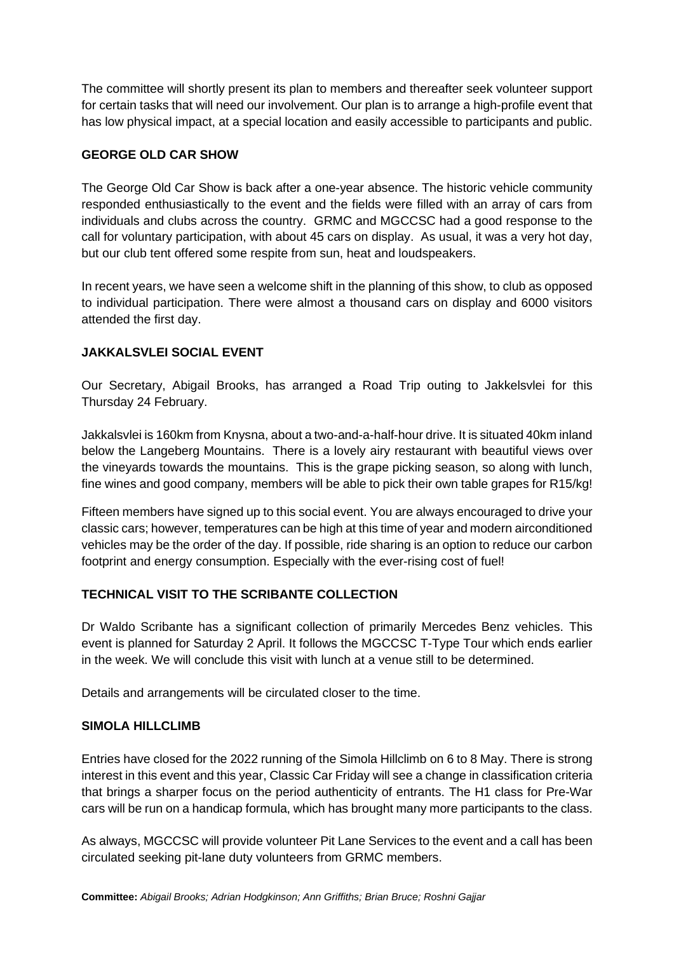The committee will shortly present its plan to members and thereafter seek volunteer support for certain tasks that will need our involvement. Our plan is to arrange a high-profile event that has low physical impact, at a special location and easily accessible to participants and public.

#### **GEORGE OLD CAR SHOW**

The George Old Car Show is back after a one-year absence. The historic vehicle community responded enthusiastically to the event and the fields were filled with an array of cars from individuals and clubs across the country. GRMC and MGCCSC had a good response to the call for voluntary participation, with about 45 cars on display. As usual, it was a very hot day, but our club tent offered some respite from sun, heat and loudspeakers.

In recent years, we have seen a welcome shift in the planning of this show, to club as opposed to individual participation. There were almost a thousand cars on display and 6000 visitors attended the first day.

### **JAKKALSVLEI SOCIAL EVENT**

Our Secretary, Abigail Brooks, has arranged a Road Trip outing to Jakkelsvlei for this Thursday 24 February.

Jakkalsvlei is 160km from Knysna, about a two-and-a-half-hour drive. It is situated 40km inland below the Langeberg Mountains. There is a lovely airy restaurant with beautiful views over the vineyards towards the mountains. This is the grape picking season, so along with lunch, fine wines and good company, members will be able to pick their own table grapes for R15/kg!

Fifteen members have signed up to this social event. You are always encouraged to drive your classic cars; however, temperatures can be high at this time of year and modern airconditioned vehicles may be the order of the day. If possible, ride sharing is an option to reduce our carbon footprint and energy consumption. Especially with the ever-rising cost of fuel!

#### **TECHNICAL VISIT TO THE SCRIBANTE COLLECTION**

Dr Waldo Scribante has a significant collection of primarily Mercedes Benz vehicles. This event is planned for Saturday 2 April. It follows the MGCCSC T-Type Tour which ends earlier in the week. We will conclude this visit with lunch at a venue still to be determined.

Details and arrangements will be circulated closer to the time.

#### **SIMOLA HILLCLIMB**

Entries have closed for the 2022 running of the Simola Hillclimb on 6 to 8 May. There is strong interest in this event and this year, Classic Car Friday will see a change in classification criteria that brings a sharper focus on the period authenticity of entrants. The H1 class for Pre-War cars will be run on a handicap formula, which has brought many more participants to the class.

As always, MGCCSC will provide volunteer Pit Lane Services to the event and a call has been circulated seeking pit-lane duty volunteers from GRMC members.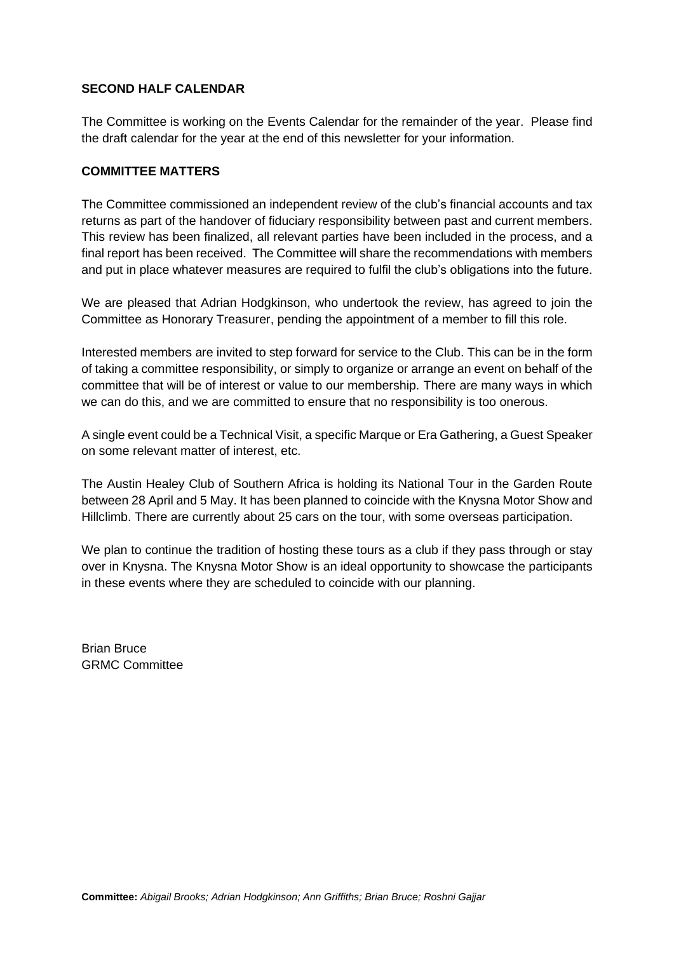#### **SECOND HALF CALENDAR**

The Committee is working on the Events Calendar for the remainder of the year. Please find the draft calendar for the year at the end of this newsletter for your information.

#### **COMMITTEE MATTERS**

The Committee commissioned an independent review of the club's financial accounts and tax returns as part of the handover of fiduciary responsibility between past and current members. This review has been finalized, all relevant parties have been included in the process, and a final report has been received. The Committee will share the recommendations with members and put in place whatever measures are required to fulfil the club's obligations into the future.

We are pleased that Adrian Hodgkinson, who undertook the review, has agreed to join the Committee as Honorary Treasurer, pending the appointment of a member to fill this role.

Interested members are invited to step forward for service to the Club. This can be in the form of taking a committee responsibility, or simply to organize or arrange an event on behalf of the committee that will be of interest or value to our membership. There are many ways in which we can do this, and we are committed to ensure that no responsibility is too onerous.

A single event could be a Technical Visit, a specific Marque or Era Gathering, a Guest Speaker on some relevant matter of interest, etc.

The Austin Healey Club of Southern Africa is holding its National Tour in the Garden Route between 28 April and 5 May. It has been planned to coincide with the Knysna Motor Show and Hillclimb. There are currently about 25 cars on the tour, with some overseas participation.

We plan to continue the tradition of hosting these tours as a club if they pass through or stay over in Knysna. The Knysna Motor Show is an ideal opportunity to showcase the participants in these events where they are scheduled to coincide with our planning.

Brian Bruce GRMC Committee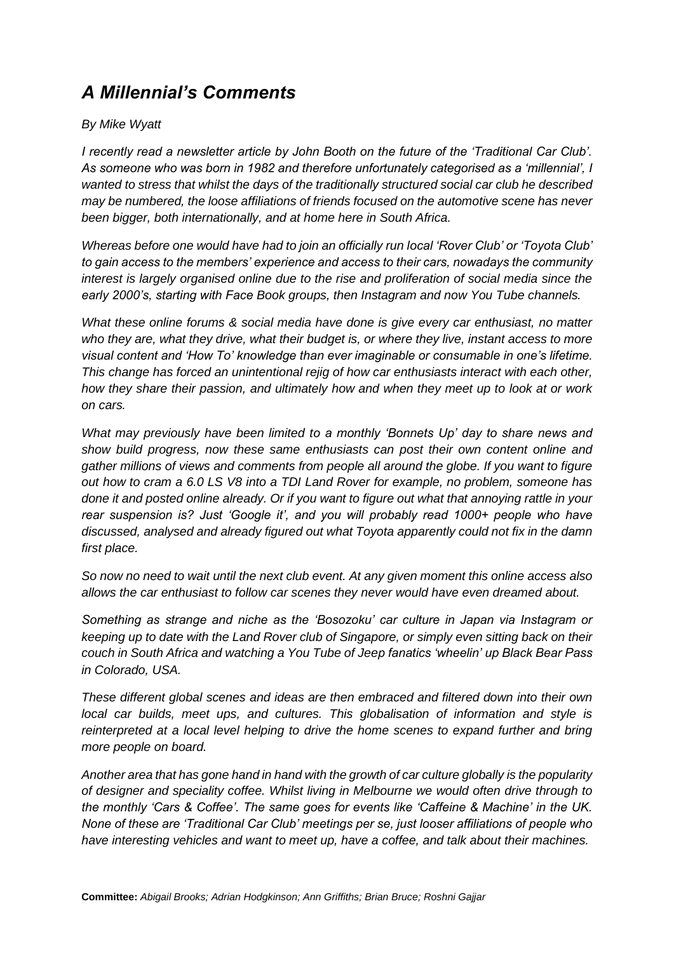# *A Millennial's Comments*

#### *By Mike Wyatt*

*I recently read a newsletter article by John Booth on the future of the 'Traditional Car Club'. As someone who was born in 1982 and therefore unfortunately categorised as a 'millennial', I wanted to stress that whilst the days of the traditionally structured social car club he described may be numbered, the loose affiliations of friends focused on the automotive scene has never been bigger, both internationally, and at home here in South Africa.* 

*Whereas before one would have had to join an officially run local 'Rover Club' or 'Toyota Club' to gain access to the members' experience and access to their cars, nowadays the community interest is largely organised online due to the rise and proliferation of social media since the early 2000's, starting with Face Book groups, then Instagram and now You Tube channels.* 

*What these online forums & social media have done is give every car enthusiast, no matter who they are, what they drive, what their budget is, or where they live, instant access to more visual content and 'How To' knowledge than ever imaginable or consumable in one's lifetime. This change has forced an unintentional rejig of how car enthusiasts interact with each other, how they share their passion, and ultimately how and when they meet up to look at or work on cars.* 

*What may previously have been limited to a monthly 'Bonnets Up' day to share news and show build progress, now these same enthusiasts can post their own content online and gather millions of views and comments from people all around the globe. If you want to figure out how to cram a 6.0 LS V8 into a TDI Land Rover for example, no problem, someone has done it and posted online already. Or if you want to figure out what that annoying rattle in your rear suspension is? Just 'Google it', and you will probably read 1000+ people who have discussed, analysed and already figured out what Toyota apparently could not fix in the damn first place.* 

*So now no need to wait until the next club event. At any given moment this online access also allows the car enthusiast to follow car scenes they never would have even dreamed about.* 

*Something as strange and niche as the 'Bosozoku' car culture in Japan via Instagram or keeping up to date with the Land Rover club of Singapore, or simply even sitting back on their couch in South Africa and watching a You Tube of Jeep fanatics 'wheelin' up Black Bear Pass in Colorado, USA.* 

*These different global scenes and ideas are then embraced and filtered down into their own local car builds, meet ups, and cultures. This globalisation of information and style is reinterpreted at a local level helping to drive the home scenes to expand further and bring more people on board.* 

*Another area that has gone hand in hand with the growth of car culture globally is the popularity of designer and speciality coffee. Whilst living in Melbourne we would often drive through to the monthly 'Cars & Coffee'. The same goes for events like 'Caffeine & Machine' in the UK. None of these are 'Traditional Car Club' meetings per se, just looser affiliations of people who have interesting vehicles and want to meet up, have a coffee, and talk about their machines.*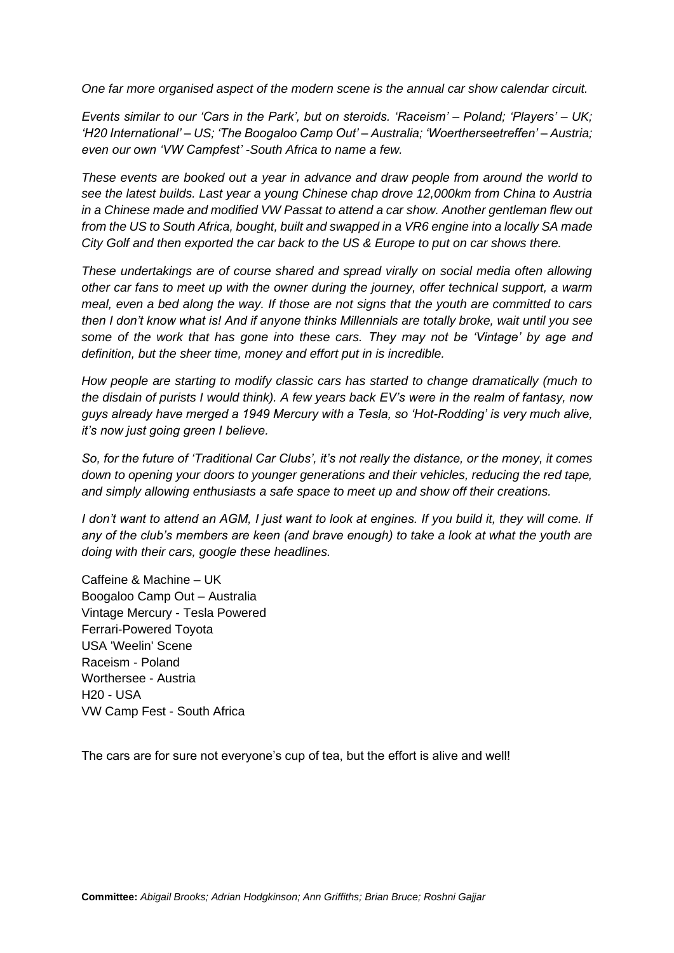*One far more organised aspect of the modern scene is the annual car show calendar circuit.* 

*Events similar to our 'Cars in the Park', but on steroids. 'Raceism' – Poland; 'Players' – UK; 'H20 International' – US; 'The Boogaloo Camp Out' – Australia; 'Woertherseetreffen' – Austria; even our own 'VW Campfest' -South Africa to name a few.* 

*These events are booked out a year in advance and draw people from around the world to see the latest builds. Last year a young Chinese chap drove 12,000km from China to Austria in a Chinese made and modified VW Passat to attend a car show. Another gentleman flew out from the US to South Africa, bought, built and swapped in a VR6 engine into a locally SA made City Golf and then exported the car back to the US & Europe to put on car shows there.* 

*These undertakings are of course shared and spread virally on social media often allowing other car fans to meet up with the owner during the journey, offer technical support, a warm meal, even a bed along the way. If those are not signs that the youth are committed to cars then I don't know what is! And if anyone thinks Millennials are totally broke, wait until you see some of the work that has gone into these cars. They may not be 'Vintage' by age and definition, but the sheer time, money and effort put in is incredible.* 

*How people are starting to modify classic cars has started to change dramatically (much to the disdain of purists I would think). A few years back EV's were in the realm of fantasy, now guys already have merged a 1949 Mercury with a Tesla, so 'Hot-Rodding' is very much alive, it's now just going green I believe.* 

*So, for the future of 'Traditional Car Clubs', it's not really the distance, or the money, it comes down to opening your doors to younger generations and their vehicles, reducing the red tape, and simply allowing enthusiasts a safe space to meet up and show off their creations.* 

*I don't want to attend an AGM, I just want to look at engines. If you build it, they will come. If any of the club's members are keen (and brave enough) to take a look at what the youth are doing with their cars, google these headlines.* 

Caffeine & Machine – UK Boogaloo Camp Out – Australia Vintage Mercury - Tesla Powered Ferrari-Powered Toyota USA 'Weelin' Scene Raceism - Poland Worthersee - Austria H20 - USA VW Camp Fest - South Africa

The cars are for sure not everyone's cup of tea, but the effort is alive and well!